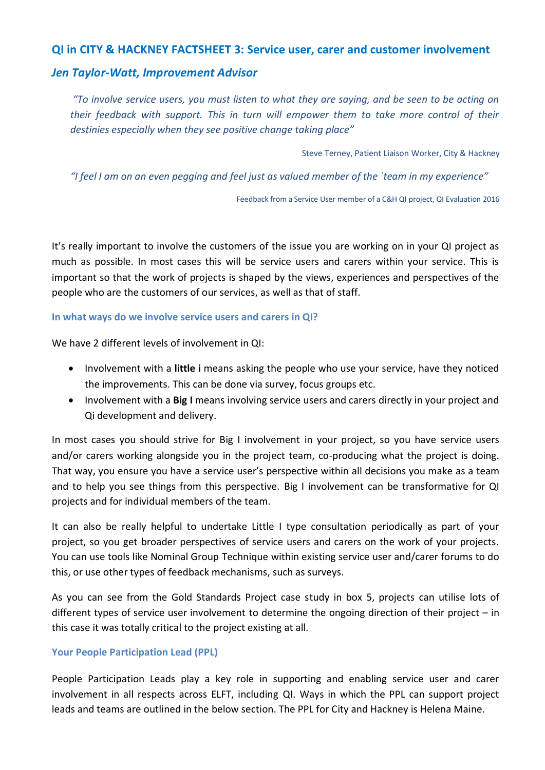# **QI in CITY & HACKNEY FACTSHEET 3: Service user, carer and customer involvement**

# *Jen Taylor-Watt, Improvement Advisor*

*"To involve service users, you must listen to what they are saying, and be seen to be acting on their feedback with support. This in turn will empower them to take more control of their destinies especially when they see positive change taking place"*

Steve Terney, Patient Liaison Worker, City & Hackney

*"I feel I am on an even pegging and feel just as valued member of the `team in my experience"*

Feedback from a Service User member of a C&H QI project, QI Evaluation 2016

It's really important to involve the customers of the issue you are working on in your QI project as much as possible. In most cases this will be service users and carers within your service. This is important so that the work of projects is shaped by the views, experiences and perspectives of the people who are the customers of our services, as well as that of staff.

### **In what ways do we involve service users and carers in QI?**

We have 2 different levels of involvement in QI:

- Involvement with a **little i** means asking the people who use your service, have they noticed the improvements. This can be done via survey, focus groups etc.
- Involvement with a **Big I** means involving service users and carers directly in your project and Qi development and delivery.

In most cases you should strive for Big I involvement in your project, so you have service users and/or carers working alongside you in the project team, co-producing what the project is doing. That way, you ensure you have a service user's perspective within all decisions you make as a team and to help you see things from this perspective. Big I involvement can be transformative for QI projects and for individual members of the team.

It can also be really helpful to undertake Little I type consultation periodically as part of your project, so you get broader perspectives of service users and carers on the work of your projects. You can use tools like Nominal Group Technique within existing service user and/carer forums to do this, or use other types of feedback mechanisms, such as surveys.

As you can see from the Gold Standards Project case study in box 5, projects can utilise lots of different types of service user involvement to determine the ongoing direction of their project – in this case it was totally critical to the project existing at all.

# **Your People Participation Lead (PPL)**

People Participation Leads play a key role in supporting and enabling service user and carer involvement in all respects across ELFT, including QI. Ways in which the PPL can support project leads and teams are outlined in the below section. The PPL for City and Hackney is Helena Maine.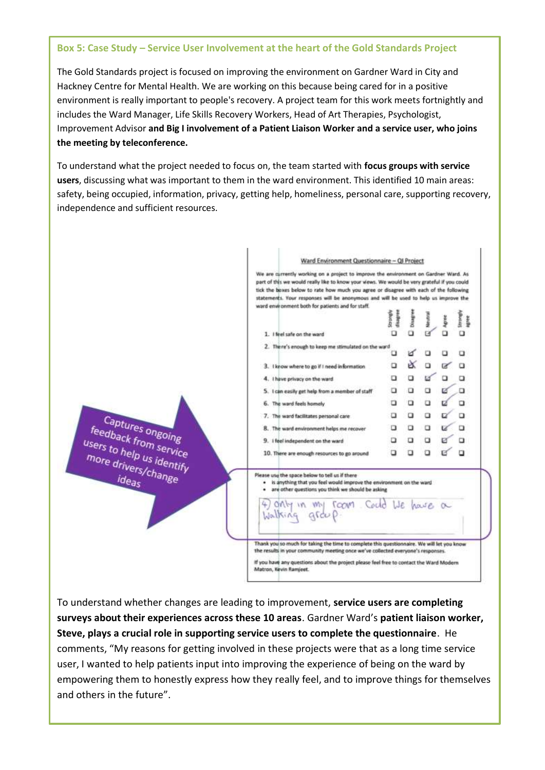#### **Box 5: Case Study – Service User Involvement at the heart of the Gold Standards Project**

The Gold Standards project is focused on improving the environment on Gardner Ward in City and Hackney Centre for Mental Health. We are working on this because being cared for in a positive environment is really important to people's recovery. A project team for this work meets fortnightly and includes the Ward Manager, Life Skills Recovery Workers, Head of Art Therapies, Psychologist, Improvement Advisor **and Big I involvement of a Patient Liaison Worker and a service user, who joins the meeting by teleconference.** 

To understand what the project needed to focus on, the team started with **focus groups with service users**, discussing what was important to them in the ward environment. This identified 10 main areas: safety, being occupied, information, privacy, getting help, homeliness, personal care, supporting recovery, independence and sufficient resources.



To understand whether changes are leading to improvement, **service users are completing surveys about their experiences across these 10 areas**. Gardner Ward's **patient liaison worker, Steve, plays a crucial role in supporting service users to complete the questionnaire**. He comments, "My reasons for getting involved in these projects were that as a long time service user, I wanted to help patients input into improving the experience of being on the ward by empowering them to honestly express how they really feel, and to improve things for themselves and others in the future".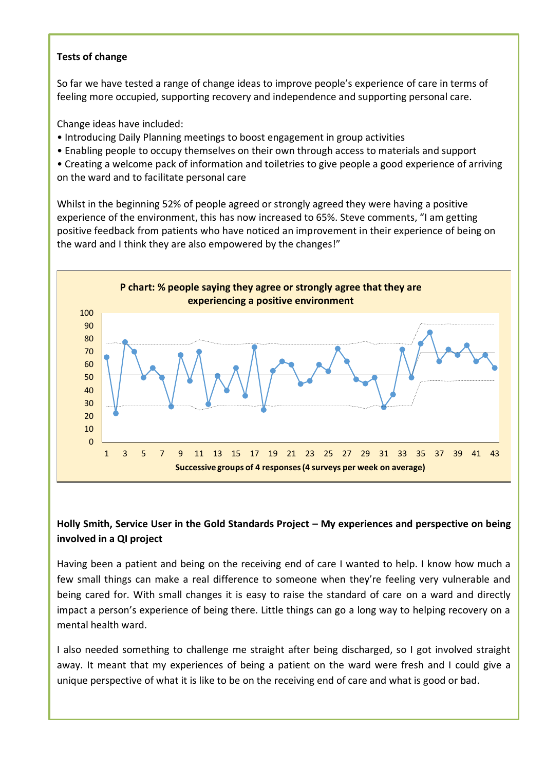# **Tests of change**

So far we have tested a range of change ideas to improve people's experience of care in terms of feeling more occupied, supporting recovery and independence and supporting personal care.

Change ideas have included:

- Introducing Daily Planning meetings to boost engagement in group activities
- Enabling people to occupy themselves on their own through access to materials and support
- Creating a welcome pack of information and toiletries to give people a good experience of arriving on the ward and to facilitate personal care

Whilst in the beginning 52% of people agreed or strongly agreed they were having a positive experience of the environment, this has now increased to 65%. Steve comments, "I am getting positive feedback from patients who have noticed an improvement in their experience of being on the ward and I think they are also empowered by the changes!"



# **Holly Smith, Service User in the Gold Standards Project – My experiences and perspective on being involved in a QI project**

Having been a patient and being on the receiving end of care I wanted to help. I know how much a few small things can make a real difference to someone when they're feeling very vulnerable and being cared for. With small changes it is easy to raise the standard of care on a ward and directly impact a person's experience of being there. Little things can go a long way to helping recovery on a mental health ward.

I also needed something to challenge me straight after being discharged, so I got involved straight away. It meant that my experiences of being a patient on the ward were fresh and I could give a unique perspective of what it is like to be on the receiving end of care and what is good or bad.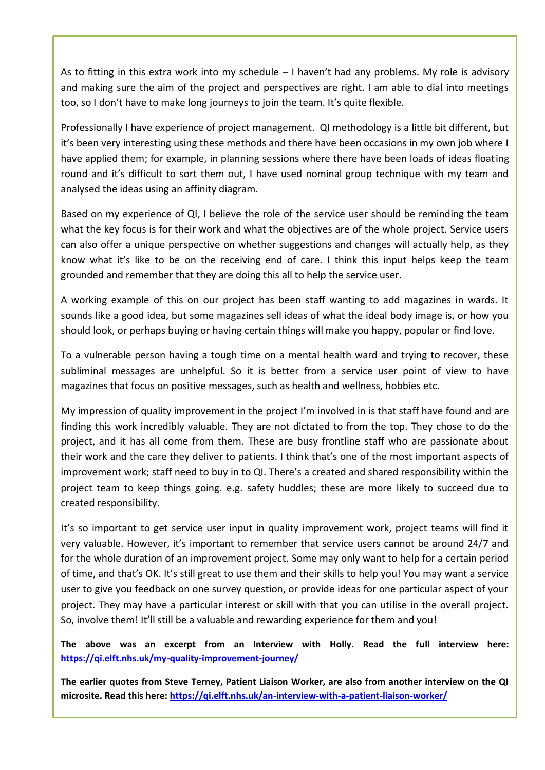As to fitting in this extra work into my schedule – I haven't had any problems. My role is advisory and making sure the aim of the project and perspectives are right. I am able to dial into meetings too, so I don't have to make long journeys to join the team. It's quite flexible.

Professionally I have experience of project management. QI methodology is a little bit different, but it's been very interesting using these methods and there have been occasions in my own job where I have applied them; for example, in planning sessions where there have been loads of ideas floating round and it's difficult to sort them out, I have used nominal group technique with my team and analysed the ideas using an affinity diagram.

Based on my experience of QI, I believe the role of the service user should be reminding the team what the key focus is for their work and what the objectives are of the whole project. Service users can also offer a unique perspective on whether suggestions and changes will actually help, as they know what it's like to be on the receiving end of care. I think this input helps keep the team grounded and remember that they are doing this all to help the service user.

A working example of this on our project has been staff wanting to add magazines in wards. It sounds like a good idea, but some magazines sell ideas of what the ideal body image is, or how you should look, or perhaps buying or having certain things will make you happy, popular or find love.

To a vulnerable person having a tough time on a mental health ward and trying to recover, these subliminal messages are unhelpful. So it is better from a service user point of view to have magazines that focus on positive messages, such as health and wellness, hobbies etc.

My impression of quality improvement in the project I'm involved in is that staff have found and are finding this work incredibly valuable. They are not dictated to from the top. They chose to do the project, and it has all come from them. These are busy frontline staff who are passionate about their work and the care they deliver to patients. I think that's one of the most important aspects of improvement work; staff need to buy in to QI. There's a created and shared responsibility within the project team to keep things going. e.g. safety huddles; these are more likely to succeed due to created responsibility.

It's so important to get service user input in quality improvement work, project teams will find it very valuable. However, it's important to remember that service users cannot be around 24/7 and for the whole duration of an improvement project. Some may only want to help for a certain period of time, and that's OK. It's still great to use them and their skills to help you! You may want a service user to give you feedback on one survey question, or provide ideas for one particular aspect of your project. They may have a particular interest or skill with that you can utilise in the overall project. So, involve them! It'll still be a valuable and rewarding experience for them and you!

**The above was an excerpt from an Interview with Holly. Read the full interview here: <https://qi.elft.nhs.uk/my-quality-improvement-journey/>**

**The earlier quotes from Steve Terney, Patient Liaison Worker, are also from another interview on the QI microsite. Read this here:<https://qi.elft.nhs.uk/an-interview-with-a-patient-liaison-worker/>**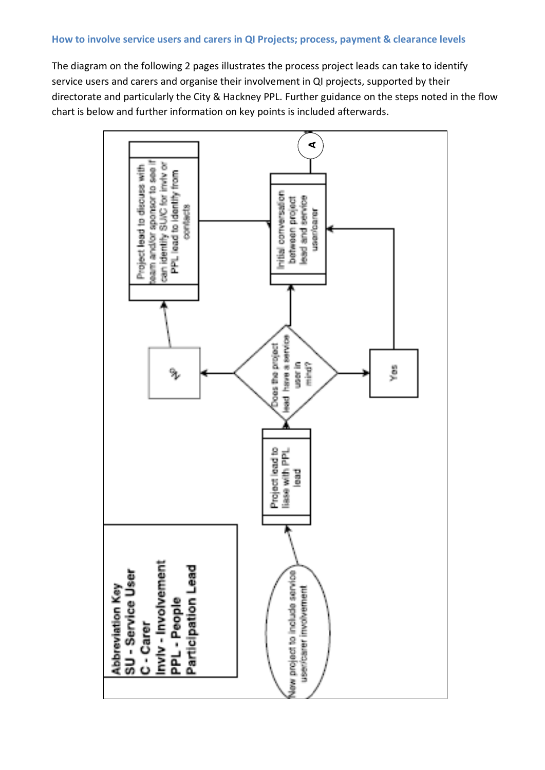## **How to involve service users and carers in QI Projects; process, payment & clearance levels**

The diagram on the following 2 pages illustrates the process project leads can take to identify service users and carers and organise their involvement in QI projects, supported by their directorate and particularly the City & Hackney PPL. Further guidance on the steps noted in the flow chart is below and further information on key points is included afterwards.

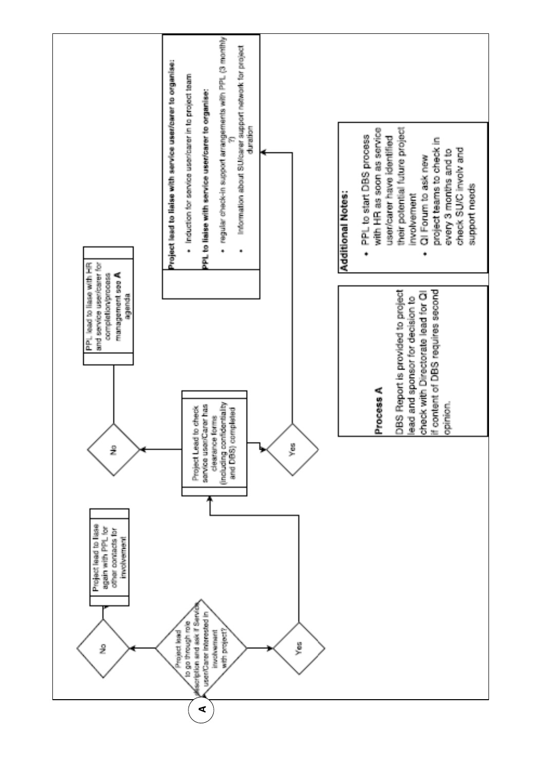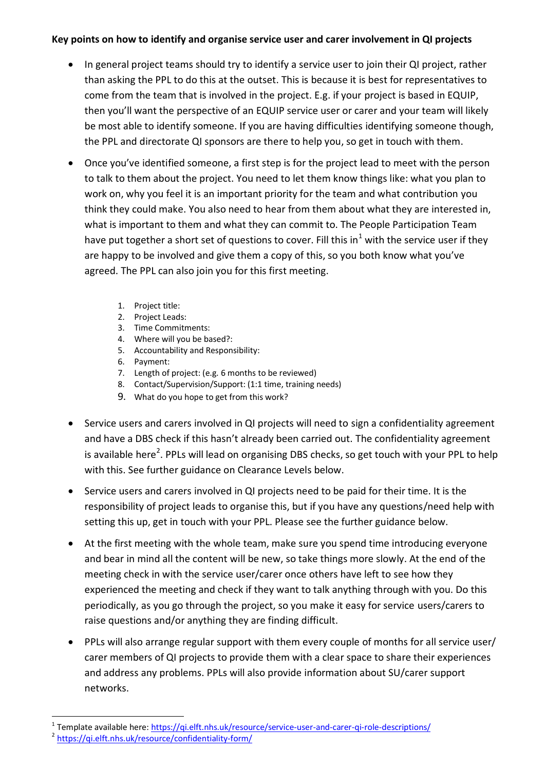# **Key points on how to identify and organise service user and carer involvement in QI projects**

- In general project teams should try to identify a service user to join their QI project, rather than asking the PPL to do this at the outset. This is because it is best for representatives to come from the team that is involved in the project. E.g. if your project is based in EQUIP, then you'll want the perspective of an EQUIP service user or carer and your team will likely be most able to identify someone. If you are having difficulties identifying someone though, the PPL and directorate QI sponsors are there to help you, so get in touch with them.
- Once you've identified someone, a first step is for the project lead to meet with the person to talk to them about the project. You need to let them know things like: what you plan to work on, why you feel it is an important priority for the team and what contribution you think they could make. You also need to hear from them about what they are interested in, what is important to them and what they can commit to. The People Participation Team have put together a short set of questions to cover. Fill this in<sup>1</sup> with the service user if they are happy to be involved and give them a copy of this, so you both know what you've agreed. The PPL can also join you for this first meeting.
	- 1. Project title:
	- 2. Project Leads:
	- 3. Time Commitments:
	- 4. Where will you be based?:
	- 5. Accountability and Responsibility:
	- 6. Payment:
	- 7. Length of project: (e.g. 6 months to be reviewed)
	- 8. Contact/Supervision/Support: (1:1 time, training needs)
	- 9. What do you hope to get from this work?
- Service users and carers involved in QI projects will need to sign a confidentiality agreement and have a DBS check if this hasn't already been carried out. The confidentiality agreement is available here<sup>2</sup>. PPLs will lead on organising DBS checks, so get touch with your PPL to help with this. See further guidance on Clearance Levels below.
- Service users and carers involved in QI projects need to be paid for their time. It is the responsibility of project leads to organise this, but if you have any questions/need help with setting this up, get in touch with your PPL. Please see the further guidance below.
- At the first meeting with the whole team, make sure you spend time introducing everyone and bear in mind all the content will be new, so take things more slowly. At the end of the meeting check in with the service user/carer once others have left to see how they experienced the meeting and check if they want to talk anything through with you. Do this periodically, as you go through the project, so you make it easy for service users/carers to raise questions and/or anything they are finding difficult.
- PPLs will also arrange regular support with them every couple of months for all service user/ carer members of QI projects to provide them with a clear space to share their experiences and address any problems. PPLs will also provide information about SU/carer support networks.

-

<sup>&</sup>lt;sup>1</sup> Template available here:<https://qi.elft.nhs.uk/resource/service-user-and-carer-qi-role-descriptions/>

<sup>&</sup>lt;sup>2</sup> <https://qi.elft.nhs.uk/resource/confidentiality-form/>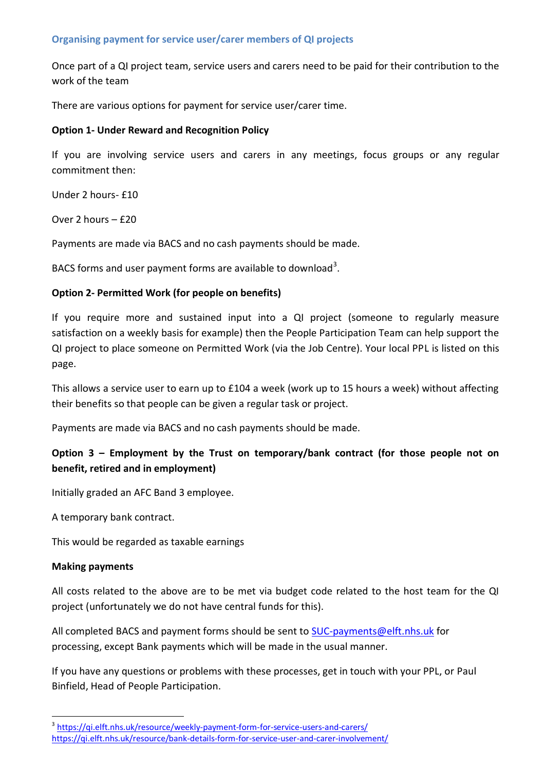## **Organising payment for service user/carer members of QI projects**

Once part of a QI project team, service users and carers need to be paid for their contribution to the work of the team

There are various options for payment for service user/carer time.

## **Option 1- Under Reward and Recognition Policy**

If you are involving service users and carers in any meetings, focus groups or any regular commitment then:

Under 2 hours- £10

Over 2 hours – £20

Payments are made via BACS and no cash payments should be made.

BACS forms and user payment forms are available to download<sup>3</sup>.

# **Option 2- Permitted Work (for people on benefits)**

If you require more and sustained input into a QI project (someone to regularly measure satisfaction on a weekly basis for example) then the People Participation Team can help support the QI project to place someone on Permitted Work (via the Job Centre). Your local PPL is listed on this page.

This allows a service user to earn up to £104 a week (work up to 15 hours a week) without affecting their benefits so that people can be given a regular task or project.

Payments are made via BACS and no cash payments should be made.

# **Option 3 – Employment by the Trust on temporary/bank contract (for those people not on benefit, retired and in employment)**

Initially graded an AFC Band 3 employee.

A temporary bank contract.

This would be regarded as taxable earnings

### **Making payments**

-

All costs related to the above are to be met via budget code related to the host team for the QI project (unfortunately we do not have central funds for this).

All completed BACS and payment forms should be sent to [SUC-payments@elft.nhs.uk](mailto:SUC-payments@elft.nhs.uk) for processing, except Bank payments which will be made in the usual manner.

If you have any questions or problems with these processes, get in touch with your PPL, or Paul Binfield, Head of People Participation.

<sup>&</sup>lt;sup>3</sup> <https://qi.elft.nhs.uk/resource/weekly-payment-form-for-service-users-and-carers/> <https://qi.elft.nhs.uk/resource/bank-details-form-for-service-user-and-carer-involvement/>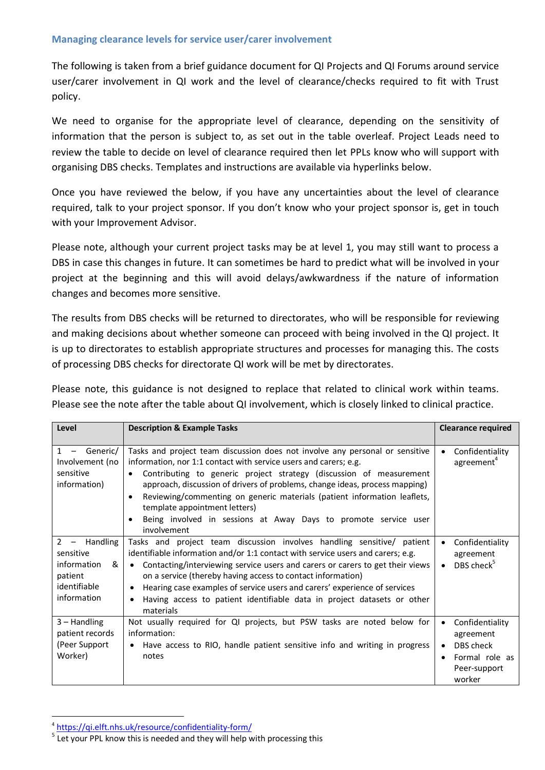## **Managing clearance levels for service user/carer involvement**

The following is taken from a brief guidance document for QI Projects and QI Forums around service user/carer involvement in QI work and the level of clearance/checks required to fit with Trust policy.

We need to organise for the appropriate level of clearance, depending on the sensitivity of information that the person is subject to, as set out in the table overleaf. Project Leads need to review the table to decide on level of clearance required then let PPLs know who will support with organising DBS checks. Templates and instructions are available via hyperlinks below.

Once you have reviewed the below, if you have any uncertainties about the level of clearance required, talk to your project sponsor. If you don't know who your project sponsor is, get in touch with your Improvement Advisor.

Please note, although your current project tasks may be at level 1, you may still want to process a DBS in case this changes in future. It can sometimes be hard to predict what will be involved in your project at the beginning and this will avoid delays/awkwardness if the nature of information changes and becomes more sensitive.

The results from DBS checks will be returned to directorates, who will be responsible for reviewing and making decisions about whether someone can proceed with being involved in the QI project. It is up to directorates to establish appropriate structures and processes for managing this. The costs of processing DBS checks for directorate QI work will be met by directorates.

Please note, this guidance is not designed to replace that related to clinical work within teams. Please see the note after the table about QI involvement, which is closely linked to clinical practice.

| Level                                                                                                                          | <b>Description &amp; Example Tasks</b>                                                                                                                                                                                                                                                                                                                                                                                                                                                                                          | <b>Clearance required</b>                                                                          |
|--------------------------------------------------------------------------------------------------------------------------------|---------------------------------------------------------------------------------------------------------------------------------------------------------------------------------------------------------------------------------------------------------------------------------------------------------------------------------------------------------------------------------------------------------------------------------------------------------------------------------------------------------------------------------|----------------------------------------------------------------------------------------------------|
| $\mathbf{1}$<br>Generic/<br>$\overline{\phantom{0}}$<br>Involvement (no<br>sensitive<br>information)                           | Tasks and project team discussion does not involve any personal or sensitive<br>information, nor 1:1 contact with service users and carers; e.g.<br>Contributing to generic project strategy (discussion of measurement<br>$\bullet$<br>approach, discussion of drivers of problems, change ideas, process mapping)<br>Reviewing/commenting on generic materials (patient information leaflets,<br>$\bullet$<br>template appointment letters)<br>Being involved in sessions at Away Days to promote service user<br>involvement | Confidentiality<br>$\bullet$<br>agreement <sup>4</sup>                                             |
| Handling<br>$2^{\circ}$<br>$\overline{\phantom{0}}$<br>sensitive<br>information<br>&<br>patient<br>identifiable<br>information | Tasks and project team discussion involves handling sensitive/ patient<br>identifiable information and/or 1:1 contact with service users and carers; e.g.<br>Contacting/interviewing service users and carers or carers to get their views<br>$\bullet$<br>on a service (thereby having access to contact information)<br>Hearing case examples of service users and carers' experience of services<br>Having access to patient identifiable data in project datasets or other<br>materials                                     | Confidentiality<br>$\bullet$<br>agreement<br>DBS check $5$                                         |
| $3 -$ Handling<br>patient records<br>(Peer Support<br>Worker)                                                                  | Not usually required for QI projects, but PSW tasks are noted below for<br>information:<br>Have access to RIO, handle patient sensitive info and writing in progress<br>notes                                                                                                                                                                                                                                                                                                                                                   | Confidentiality<br>$\bullet$<br>agreement<br>DBS check<br>Formal role as<br>Peer-support<br>worker |

 4 <https://qi.elft.nhs.uk/resource/confidentiality-form/>

<sup>&</sup>lt;sup>5</sup> Let your PPL know this is needed and they will help with processing this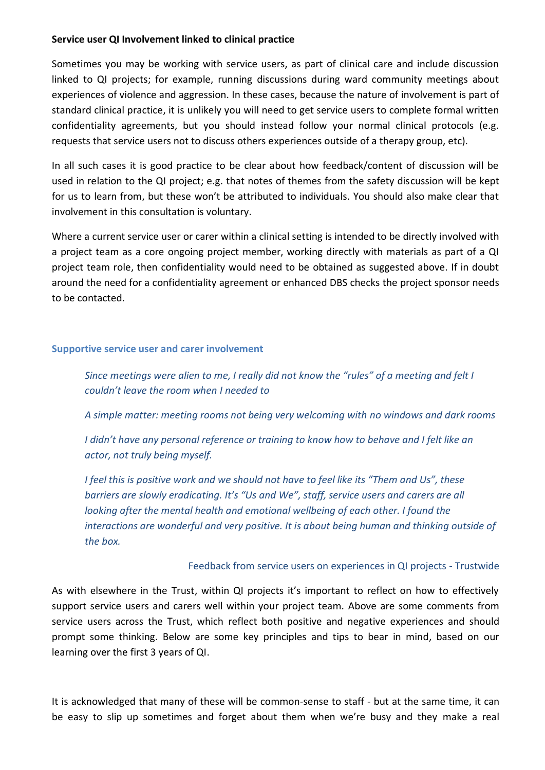## **Service user QI Involvement linked to clinical practice**

Sometimes you may be working with service users, as part of clinical care and include discussion linked to QI projects; for example, running discussions during ward community meetings about experiences of violence and aggression. In these cases, because the nature of involvement is part of standard clinical practice, it is unlikely you will need to get service users to complete formal written confidentiality agreements, but you should instead follow your normal clinical protocols (e.g. requests that service users not to discuss others experiences outside of a therapy group, etc).

In all such cases it is good practice to be clear about how feedback/content of discussion will be used in relation to the QI project; e.g. that notes of themes from the safety discussion will be kept for us to learn from, but these won't be attributed to individuals. You should also make clear that involvement in this consultation is voluntary.

Where a current service user or carer within a clinical setting is intended to be directly involved with a project team as a core ongoing project member, working directly with materials as part of a QI project team role, then confidentiality would need to be obtained as suggested above. If in doubt around the need for a confidentiality agreement or enhanced DBS checks the project sponsor needs to be contacted.

### **Supportive service user and carer involvement**

*Since meetings were alien to me, I really did not know the "rules" of a meeting and felt I couldn't leave the room when I needed to* 

*A simple matter: meeting rooms not being very welcoming with no windows and dark rooms*

*I didn't have any personal reference or training to know how to behave and I felt like an actor, not truly being myself.*

*I feel this is positive work and we should not have to feel like its "Them and Us", these barriers are slowly eradicating. It's "Us and We", staff, service users and carers are all looking after the mental health and emotional wellbeing of each other. I found the interactions are wonderful and very positive. It is about being human and thinking outside of the box.* 

### Feedback from service users on experiences in QI projects - Trustwide

As with elsewhere in the Trust, within QI projects it's important to reflect on how to effectively support service users and carers well within your project team. Above are some comments from service users across the Trust, which reflect both positive and negative experiences and should prompt some thinking. Below are some key principles and tips to bear in mind, based on our learning over the first 3 years of QI.

It is acknowledged that many of these will be common-sense to staff - but at the same time, it can be easy to slip up sometimes and forget about them when we're busy and they make a real